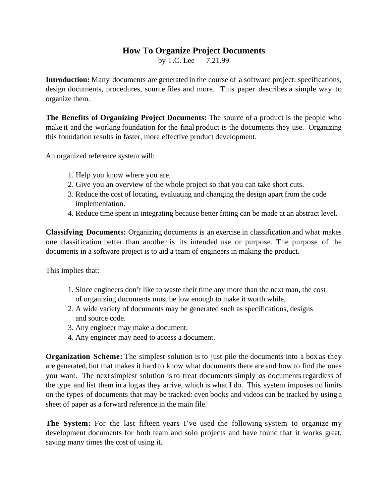## **How To Organize Project Documents**

by T.C. Lee 7.21.99

**Introduction:** Many documents are generated in the course of a software project: specifications, design documents, procedures, source files and more. This paper describes a simple way to organize them.

**The Benefits of Organizing Project Documents:** The source of a product is the people who make it and the working foundation for the final product is the documents they use. Organizing this foundation results in faster, more effective product development.

An organized reference system will:

- 1. Help you know where you are.
- 2. Give you an overview of the whole project so that you can take short cuts.
- 3. Reduce the cost of locating, evaluating and changing the design apart from the code implementation.
- 4. Reduce time spent in integrating because better fitting can be made at an abstract level.

**Classifying Documents:** Organizing documents is an exercise in classification and what makes one classification better than another is its intended use or purpose. The purpose of the documents in a software project is to aid a team of engineers in making the product.

This implies that:

- 1. Since engineers don't like to waste their time any more than the next man, the cost of organizing documents must be low enough to make it worth while.
- 2. A wide variety of documents may be generated such as specifications, designs and source code.
- 3. Any engineer may make a document.
- 4. Any engineer may need to access a document.

**Organization Scheme:** The simplest solution is to just pile the documents into a box as they are generated, but that makes it hard to know what documents there are and how to find the ones you want. The next simplest solution is to treat documents simply *as* documents regardless of the type and list them in a log as they arrive, which is what I do. This system imposes no limits on the types of documents that may be tracked: even books and videos can be tracked by using a sheet of paper as a forward reference in the main file.

The System: For the last fifteen years I've used the following system to organize my development documents for both team and solo projects and have found that it works great, saving many times the cost of using it.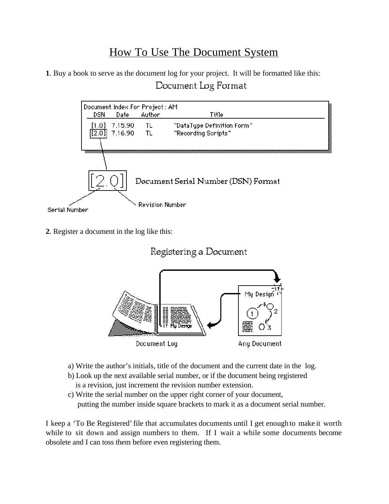## How To Use The Document System

**1**. Buy a book to serve as the document log for your project. It will be formatted like this: Document Log Format



**2**. Register a document in the log like this:





- a) Write the author's initials, title of the document and the current date in the log.
- b) Look up the next available serial number, or if the document being registered is a revision, just increment the revision number extension.
- c) Write the serial number on the upper right corner of your document, putting the number inside square brackets to mark it as a document serial number.

I keep a 'To Be Registered' file that accumulates documents until I get enough to make it worth while to sit down and assign numbers to them. If I wait a while some documents become obsolete and I can toss them before even registering them.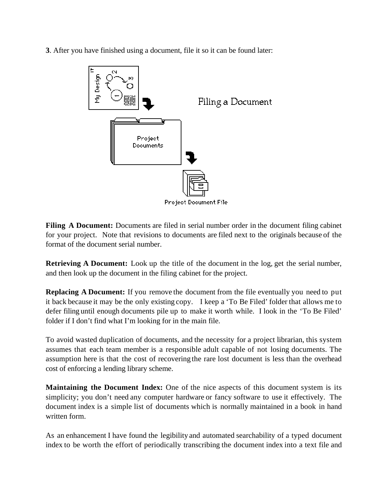**3**. After you have finished using a document, file it so it can be found later:



**Filing A Document:** Documents are filed in serial number order in the document filing cabinet for your project. Note that revisions to documents are filed next to the originals because of the format of the document serial number.

**Retrieving A Document:** Look up the title of the document in the log, get the serial number, and then look up the document in the filing cabinet for the project.

**Replacing A Document:** If you remove the document from the file eventually you need to put it back because it may be the only existing copy. I keep a 'To Be Filed' folder that allows me to defer filing until enough documents pile up to make it worth while. I look in the 'To Be Filed' folder if I don't find what I'm looking for in the main file.

To avoid wasted duplication of documents, and the necessity for a project librarian, this system assumes that each team member is a responsible adult capable of not losing documents. The assumption here is that the cost of recovering the rare lost document is less than the overhead cost of enforcing a lending library scheme.

**Maintaining the Document Index:** One of the nice aspects of this document system is its simplicity; you don't need any computer hardware or fancy software to use it effectively. The document index is a simple list of documents which is normally maintained in a book in hand written form.

As an enhancement I have found the legibility and automated searchability of a typed document index to be worth the effort of periodically transcribing the document index into a text file and